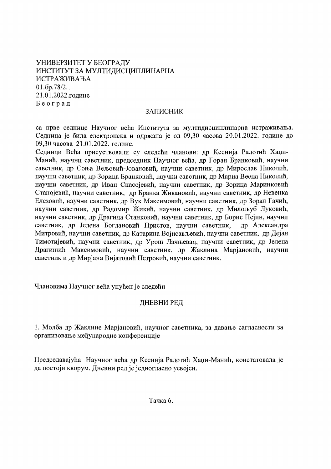УНИВЕРЗИТЕТ У БЕОГРАДУ ИНСТИТУТ ЗА МУЛТИДИСЦИПЛИНАРНА ИСТРАЖИВАЊА  $01.6p.78/2.$ 21.01.2022.године Београд

## **ЗАПИСНИК**

са прве седнице Научног већа Института за мултидисциплинарна истраживања. Седница је била електронска и одржана је од 09,30 часова 20.01.2022. године до 09.30 часова 21.01.2022. године.

Седници Већа присуствовали су следећи чланови: др Ксенија Радотић Хаџи-Манић, научни саветник, председник Научног већа, др Горан Бранковић, научни саветник, др Соња Вељовић-Јовановић, научни саветник, др Мирослав Николић, научни саветник, др Зорица Бранковић, научни саветник, др Мариа Весна Николић, научни саветник, др Иван Спасојевић, научни саветник, др Зорица Маринковић Станојевић, научни саветник, др Бранка Живановић, научни саветник, др Невенка Елезовић, научни саветник, др Вук Максимовић, научни саветник, др Зоран Гачић, научни саветник, др Радомир Жикић, научни саветник, др Милољуб Луковић, научни саветник, др Драгица Станковић, научни саветник, др Борис Пејин, научни саветник, др Јелена Богдановић Пристов, научни саветник, др Александра Митровић, научни саветник, др Катарина Војисављевић, научни саветник, др Дејан Тимотијевић, научни саветник, др Урош Лачњевац, научни саветник, др Јелена Драгишић Максимовић, научни саветник, др Жаклина Марјановић, научни саветник и др Мирјана Вијатовић Петровић, научни саветник.

Члановима Научног већа упућен је следећи

## ДНЕВНИ РЕД

1. Молба др Жаклине Марјановић, научног саветника, за давање сагласности за организовање међународне конференције

Председавајућа Научног већа др Ксенија Радотић Хаџи-Манић, констатовала је да постоји кворум. Дневни ред је једногласно усвојен.

Тачка 6.